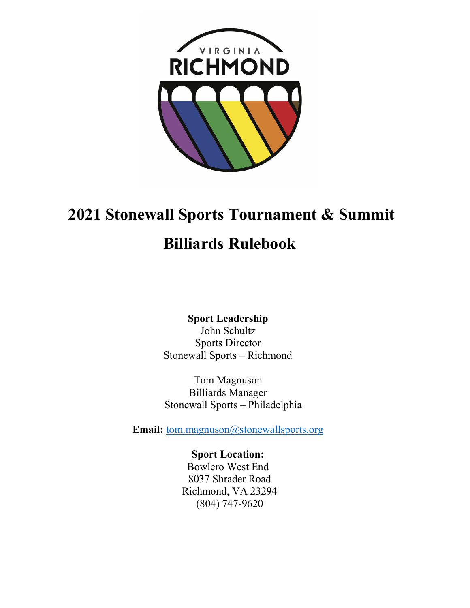

# 2021 Stonewall Sports Tournament & Summit

# Billiards Rulebook

Sport Leadership John Schultz Sports Director Stonewall Sports – Richmond

Tom Magnuson Billiards Manager Stonewall Sports – Philadelphia

Email: tom.magnuson@stonewallsports.org

Sport Location: Bowlero West End 8037 Shrader Road Richmond, VA 23294 (804) 747-9620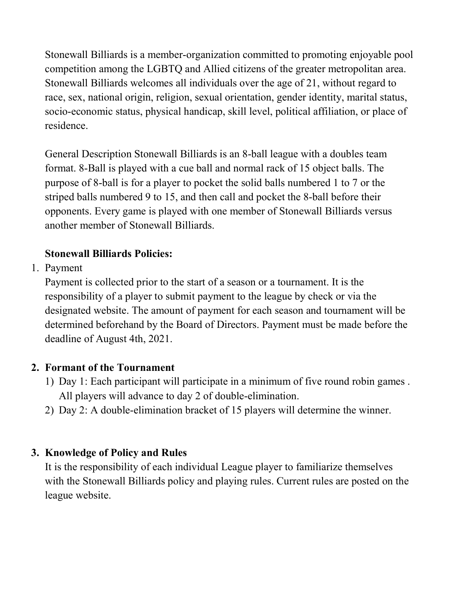Stonewall Billiards is a member-organization committed to promoting enjoyable pool competition among the LGBTQ and Allied citizens of the greater metropolitan area. Stonewall Billiards welcomes all individuals over the age of 21, without regard to race, sex, national origin, religion, sexual orientation, gender identity, marital status, socio-economic status, physical handicap, skill level, political affiliation, or place of residence.

General Description Stonewall Billiards is an 8-ball league with a doubles team format. 8-Ball is played with a cue ball and normal rack of 15 object balls. The purpose of 8-ball is for a player to pocket the solid balls numbered 1 to 7 or the striped balls numbered 9 to 15, and then call and pocket the 8-ball before their opponents. Every game is played with one member of Stonewall Billiards versus another member of Stonewall Billiards.

# Stonewall Billiards Policies:

1. Payment

Payment is collected prior to the start of a season or a tournament. It is the responsibility of a player to submit payment to the league by check or via the designated website. The amount of payment for each season and tournament will be determined beforehand by the Board of Directors. Payment must be made before the deadline of August 4th, 2021.

## 2. Formant of the Tournament

- 1) Day 1: Each participant will participate in a minimum of five round robin games . All players will advance to day 2 of double-elimination.
- 2) Day 2: A double-elimination bracket of 15 players will determine the winner.

# 3. Knowledge of Policy and Rules

It is the responsibility of each individual League player to familiarize themselves with the Stonewall Billiards policy and playing rules. Current rules are posted on the league website.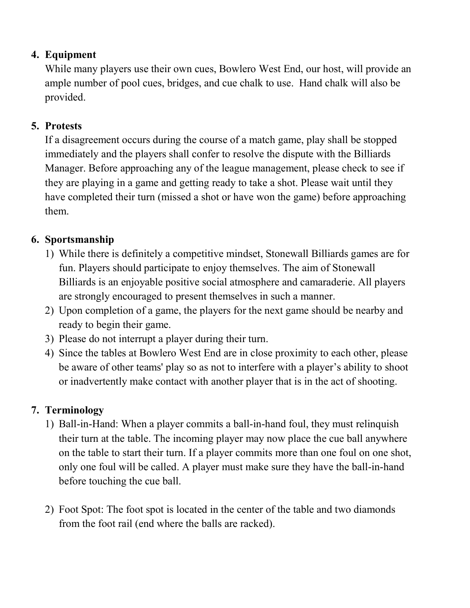### 4. Equipment

While many players use their own cues, Bowlero West End, our host, will provide an ample number of pool cues, bridges, and cue chalk to use. Hand chalk will also be provided.

#### 5. Protests

If a disagreement occurs during the course of a match game, play shall be stopped immediately and the players shall confer to resolve the dispute with the Billiards Manager. Before approaching any of the league management, please check to see if they are playing in a game and getting ready to take a shot. Please wait until they have completed their turn (missed a shot or have won the game) before approaching them.

## 6. Sportsmanship

- 1) While there is definitely a competitive mindset, Stonewall Billiards games are for fun. Players should participate to enjoy themselves. The aim of Stonewall Billiards is an enjoyable positive social atmosphere and camaraderie. All players are strongly encouraged to present themselves in such a manner.
- 2) Upon completion of a game, the players for the next game should be nearby and ready to begin their game.
- 3) Please do not interrupt a player during their turn.
- 4) Since the tables at Bowlero West End are in close proximity to each other, please be aware of other teams' play so as not to interfere with a player's ability to shoot or inadvertently make contact with another player that is in the act of shooting.

## 7. Terminology

- 1) Ball-in-Hand: When a player commits a ball-in-hand foul, they must relinquish their turn at the table. The incoming player may now place the cue ball anywhere on the table to start their turn. If a player commits more than one foul on one shot, only one foul will be called. A player must make sure they have the ball-in-hand before touching the cue ball.
- 2) Foot Spot: The foot spot is located in the center of the table and two diamonds from the foot rail (end where the balls are racked).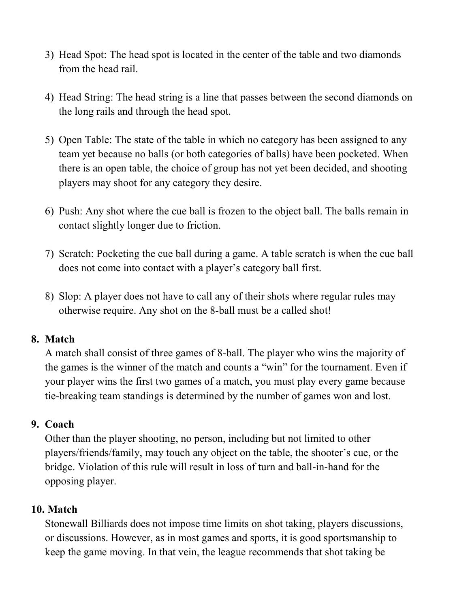- 3) Head Spot: The head spot is located in the center of the table and two diamonds from the head rail.
- 4) Head String: The head string is a line that passes between the second diamonds on the long rails and through the head spot.
- 5) Open Table: The state of the table in which no category has been assigned to any team yet because no balls (or both categories of balls) have been pocketed. When there is an open table, the choice of group has not yet been decided, and shooting players may shoot for any category they desire.
- 6) Push: Any shot where the cue ball is frozen to the object ball. The balls remain in contact slightly longer due to friction.
- 7) Scratch: Pocketing the cue ball during a game. A table scratch is when the cue ball does not come into contact with a player's category ball first.
- 8) Slop: A player does not have to call any of their shots where regular rules may otherwise require. Any shot on the 8-ball must be a called shot!

#### 8. Match

A match shall consist of three games of 8-ball. The player who wins the majority of the games is the winner of the match and counts a "win" for the tournament. Even if your player wins the first two games of a match, you must play every game because tie-breaking team standings is determined by the number of games won and lost.

#### 9. Coach

Other than the player shooting, no person, including but not limited to other players/friends/family, may touch any object on the table, the shooter's cue, or the bridge. Violation of this rule will result in loss of turn and ball-in-hand for the opposing player.

#### 10. Match

Stonewall Billiards does not impose time limits on shot taking, players discussions, or discussions. However, as in most games and sports, it is good sportsmanship to keep the game moving. In that vein, the league recommends that shot taking be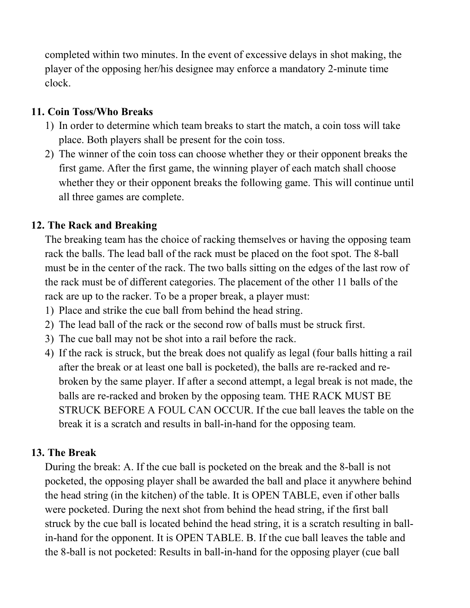completed within two minutes. In the event of excessive delays in shot making, the player of the opposing her/his designee may enforce a mandatory 2-minute time clock.

#### 11. Coin Toss/Who Breaks

- 1) In order to determine which team breaks to start the match, a coin toss will take place. Both players shall be present for the coin toss.
- 2) The winner of the coin toss can choose whether they or their opponent breaks the first game. After the first game, the winning player of each match shall choose whether they or their opponent breaks the following game. This will continue until all three games are complete.

# 12. The Rack and Breaking

The breaking team has the choice of racking themselves or having the opposing team rack the balls. The lead ball of the rack must be placed on the foot spot. The 8-ball must be in the center of the rack. The two balls sitting on the edges of the last row of the rack must be of different categories. The placement of the other 11 balls of the rack are up to the racker. To be a proper break, a player must:

- 1) Place and strike the cue ball from behind the head string.
- 2) The lead ball of the rack or the second row of balls must be struck first.
- 3) The cue ball may not be shot into a rail before the rack.
- 4) If the rack is struck, but the break does not qualify as legal (four balls hitting a rail after the break or at least one ball is pocketed), the balls are re-racked and rebroken by the same player. If after a second attempt, a legal break is not made, the balls are re-racked and broken by the opposing team. THE RACK MUST BE STRUCK BEFORE A FOUL CAN OCCUR. If the cue ball leaves the table on the break it is a scratch and results in ball-in-hand for the opposing team.

## 13. The Break

During the break: A. If the cue ball is pocketed on the break and the 8-ball is not pocketed, the opposing player shall be awarded the ball and place it anywhere behind the head string (in the kitchen) of the table. It is OPEN TABLE, even if other balls were pocketed. During the next shot from behind the head string, if the first ball struck by the cue ball is located behind the head string, it is a scratch resulting in ballin-hand for the opponent. It is OPEN TABLE. B. If the cue ball leaves the table and the 8-ball is not pocketed: Results in ball-in-hand for the opposing player (cue ball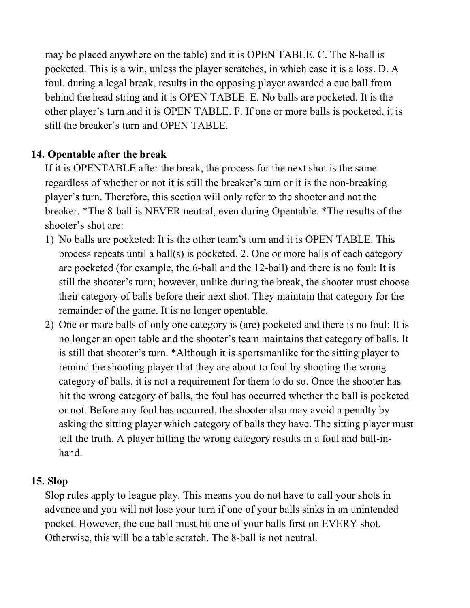may be placed anywhere on the table) and it is OPEN TABLE. C. The 8-ball is pocketed. This is a win, unless the player scratches, in which case it is a loss. D. A foul, during a legal break, results in the opposing player awarded a cue ball from behind the head string and it is OPEN TABLE. E. No balls are pocketed. It is the other player's turn and it is OPEN TABLE. F. If one or more balls is pocketed, it is still the breaker's turn and OPEN TABLE.

### 14. Opentable after the break

If it is OPENTABLE after the break, the process for the next shot is the same regardless of whether or not it is still the breaker's turn or it is the non-breaking player's turn. Therefore, this section will only refer to the shooter and not the breaker. \*The 8-ball is NEVER neutral, even during Opentable. \*The results of the shooter's shot are:

- 1) No balls are pocketed: It is the other team's turn and it is OPEN TABLE. This process repeats until a ball(s) is pocketed. 2. One or more balls of each category are pocketed (for example, the 6-ball and the 12-ball) and there is no foul: It is still the shooter's turn; however, unlike during the break, the shooter must choose their category of balls before their next shot. They maintain that category for the remainder of the game. It is no longer opentable.
- 2) One or more balls of only one category is (are) pocketed and there is no foul: It is no longer an open table and the shooter's team maintains that category of balls. It is still that shooter's turn. \*Although it is sportsmanlike for the sitting player to remind the shooting player that they are about to foul by shooting the wrong category of balls, it is not a requirement for them to do so. Once the shooter has hit the wrong category of balls, the foul has occurred whether the ball is pocketed or not. Before any foul has occurred, the shooter also may avoid a penalty by asking the sitting player which category of balls they have. The sitting player must tell the truth. A player hitting the wrong category results in a foul and ball-inhand.

#### 15. Slop

Slop rules apply to league play. This means you do not have to call your shots in advance and you will not lose your turn if one of your balls sinks in an unintended pocket. However, the cue ball must hit one of your balls first on EVERY shot. Otherwise, this will be a table scratch. The 8-ball is not neutral.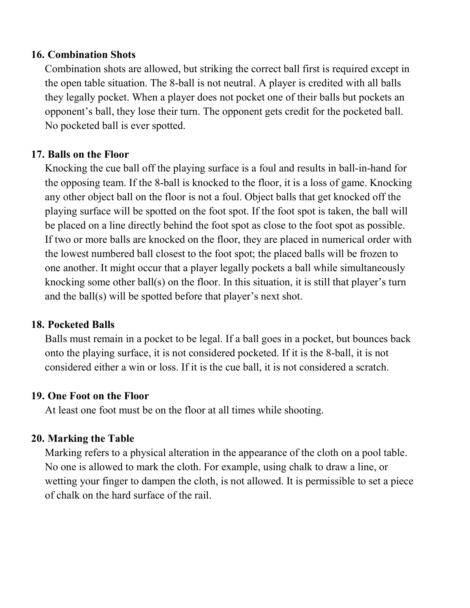#### 16. Combination Shots

Combination shots are allowed, but striking the correct ball first is required except in the open table situation. The 8-ball is not neutral. A player is credited with all balls they legally pocket. When a player does not pocket one of their balls but pockets an opponent's ball, they lose their turn. The opponent gets credit for the pocketed ball. No pocketed ball is ever spotted.

#### 17. Balls on the Floor

Knocking the cue ball off the playing surface is a foul and results in ball-in-hand for the opposing team. If the 8-ball is knocked to the floor, it is a loss of game. Knocking any other object ball on the floor is not a foul. Object balls that get knocked off the playing surface will be spotted on the foot spot. If the foot spot is taken, the ball will be placed on a line directly behind the foot spot as close to the foot spot as possible. If two or more balls are knocked on the floor, they are placed in numerical order with the lowest numbered ball closest to the foot spot; the placed balls will be frozen to one another. It might occur that a player legally pockets a ball while simultaneously knocking some other ball(s) on the floor. In this situation, it is still that player's turn and the ball(s) will be spotted before that player's next shot.

#### 18. Pocketed Balls

Balls must remain in a pocket to be legal. If a ball goes in a pocket, but bounces back onto the playing surface, it is not considered pocketed. If it is the 8-ball, it is not considered either a win or loss. If it is the cue ball, it is not considered a scratch.

#### 19. One Foot on the Floor

At least one foot must be on the floor at all times while shooting.

## 20. Marking the Table

Marking refers to a physical alteration in the appearance of the cloth on a pool table. No one is allowed to mark the cloth. For example, using chalk to draw a line, or wetting your finger to dampen the cloth, is not allowed. It is permissible to set a piece of chalk on the hard surface of the rail.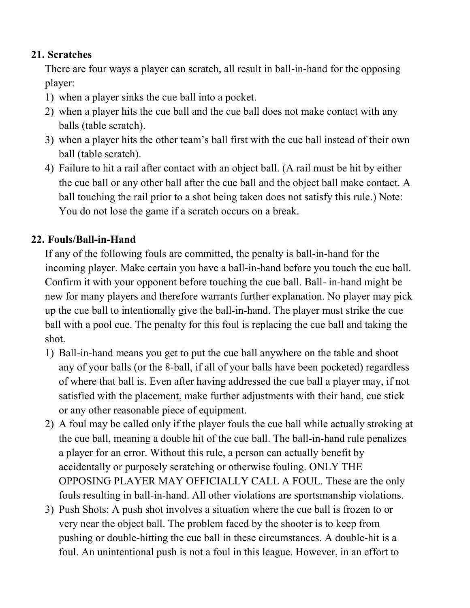#### 21. Scratches

There are four ways a player can scratch, all result in ball-in-hand for the opposing player:

- 1) when a player sinks the cue ball into a pocket.
- 2) when a player hits the cue ball and the cue ball does not make contact with any balls (table scratch).
- 3) when a player hits the other team's ball first with the cue ball instead of their own ball (table scratch).
- 4) Failure to hit a rail after contact with an object ball. (A rail must be hit by either the cue ball or any other ball after the cue ball and the object ball make contact. A ball touching the rail prior to a shot being taken does not satisfy this rule.) Note: You do not lose the game if a scratch occurs on a break.

# 22. Fouls/Ball-in-Hand

If any of the following fouls are committed, the penalty is ball-in-hand for the incoming player. Make certain you have a ball-in-hand before you touch the cue ball. Confirm it with your opponent before touching the cue ball. Ball- in-hand might be new for many players and therefore warrants further explanation. No player may pick up the cue ball to intentionally give the ball-in-hand. The player must strike the cue ball with a pool cue. The penalty for this foul is replacing the cue ball and taking the shot.

- 1) Ball-in-hand means you get to put the cue ball anywhere on the table and shoot any of your balls (or the 8-ball, if all of your balls have been pocketed) regardless of where that ball is. Even after having addressed the cue ball a player may, if not satisfied with the placement, make further adjustments with their hand, cue stick or any other reasonable piece of equipment.
- 2) A foul may be called only if the player fouls the cue ball while actually stroking at the cue ball, meaning a double hit of the cue ball. The ball-in-hand rule penalizes a player for an error. Without this rule, a person can actually benefit by accidentally or purposely scratching or otherwise fouling. ONLY THE OPPOSING PLAYER MAY OFFICIALLY CALL A FOUL. These are the only fouls resulting in ball-in-hand. All other violations are sportsmanship violations.
- 3) Push Shots: A push shot involves a situation where the cue ball is frozen to or very near the object ball. The problem faced by the shooter is to keep from pushing or double-hitting the cue ball in these circumstances. A double-hit is a foul. An unintentional push is not a foul in this league. However, in an effort to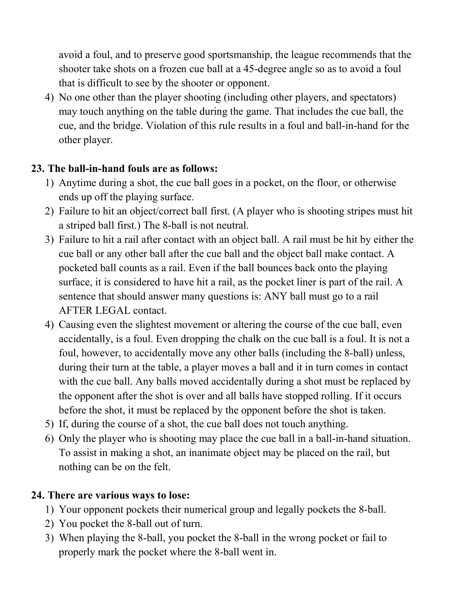avoid a foul, and to preserve good sportsmanship, the league recommends that the shooter take shots on a frozen cue ball at a 45-degree angle so as to avoid a foul that is difficult to see by the shooter or opponent.

4) No one other than the player shooting (including other players, and spectators) may touch anything on the table during the game. That includes the cue ball, the cue, and the bridge. Violation of this rule results in a foul and ball-in-hand for the other player.

# 23. The ball-in-hand fouls are as follows:

- 1) Anytime during a shot, the cue ball goes in a pocket, on the floor, or otherwise ends up off the playing surface.
- 2) Failure to hit an object/correct ball first. (A player who is shooting stripes must hit a striped ball first.) The 8-ball is not neutral.
- 3) Failure to hit a rail after contact with an object ball. A rail must be hit by either the cue ball or any other ball after the cue ball and the object ball make contact. A pocketed ball counts as a rail. Even if the ball bounces back onto the playing surface, it is considered to have hit a rail, as the pocket liner is part of the rail. A sentence that should answer many questions is: ANY ball must go to a rail AFTER LEGAL contact.
- 4) Causing even the slightest movement or altering the course of the cue ball, even accidentally, is a foul. Even dropping the chalk on the cue ball is a foul. It is not a foul, however, to accidentally move any other balls (including the 8-ball) unless, during their turn at the table, a player moves a ball and it in turn comes in contact with the cue ball. Any balls moved accidentally during a shot must be replaced by the opponent after the shot is over and all balls have stopped rolling. If it occurs before the shot, it must be replaced by the opponent before the shot is taken.
- 5) If, during the course of a shot, the cue ball does not touch anything.
- 6) Only the player who is shooting may place the cue ball in a ball-in-hand situation. To assist in making a shot, an inanimate object may be placed on the rail, but nothing can be on the felt.

## 24. There are various ways to lose:

- 1) Your opponent pockets their numerical group and legally pockets the 8-ball.
- 2) You pocket the 8-ball out of turn.
- 3) When playing the 8-ball, you pocket the 8-ball in the wrong pocket or fail to properly mark the pocket where the 8-ball went in.